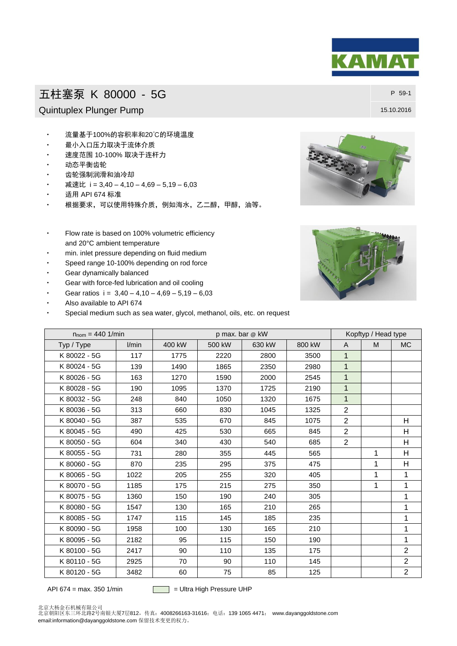## 五柱塞泵 K 80000 - 5G P 59-1

Quintuplex Plunger Pump 15.10.2016

- 流量基于100%的容积率和20℃的环境温度
- 最小入口压力取决于流体介质
- 速度范围 10-100% 取决于连杆力
- 动态平衡齿轮
- 齿轮强制润滑和油冷却
- 减速比 i = 3,40 4,10 4,69 5,19 6,03
- 适用 API 674 标准
- 根据要求,可以使用特殊介质,例如海水,乙二醇,甲醇,油等。
- Flow rate is based on 100% volumetric efficiency and 20°C ambient temperature
- min. inlet pressure depending on fluid medium
- Speed range 10-100% depending on rod force
- Gear dynamically balanced
- Gear with force-fed lubrication and oil cooling
- Gear ratios  $i = 3,40 4,10 4,69 5,19 6,03$
- Also available to API 674
- Special medium such as sea water, glycol, methanol, oils, etc. on request

| $n_{\text{nom}} = 440 \frac{1}{\text{min}}$ |       | p max. bar @ kW |        |        |        | Kopftyp / Head type |   |                |
|---------------------------------------------|-------|-----------------|--------|--------|--------|---------------------|---|----------------|
| Typ / Type                                  | l/min | 400 kW          | 500 kW | 630 kW | 800 kW | A                   | M | <b>MC</b>      |
| K 80022 - 5G                                | 117   | 1775            | 2220   | 2800   | 3500   | $\mathbf{1}$        |   |                |
| K 80024 - 5G                                | 139   | 1490            | 1865   | 2350   | 2980   | $\mathbf{1}$        |   |                |
| K 80026 - 5G                                | 163   | 1270            | 1590   | 2000   | 2545   | $\overline{1}$      |   |                |
| K 80028 - 5G                                | 190   | 1095            | 1370   | 1725   | 2190   | $\mathbf{1}$        |   |                |
| K 80032 - 5G                                | 248   | 840             | 1050   | 1320   | 1675   | $\mathbf{1}$        |   |                |
| K 80036 - 5G                                | 313   | 660             | 830    | 1045   | 1325   | $\overline{2}$      |   |                |
| K 80040 - 5G                                | 387   | 535             | 670    | 845    | 1075   | $\overline{2}$      |   | H              |
| K 80045 - 5G                                | 490   | 425             | 530    | 665    | 845    | $\overline{2}$      |   | н              |
| K 80050 - 5G                                | 604   | 340             | 430    | 540    | 685    | 2                   |   | H              |
| K 80055 - 5G                                | 731   | 280             | 355    | 445    | 565    |                     | 1 | H              |
| K 80060 - 5G                                | 870   | 235             | 295    | 375    | 475    |                     | 1 | H              |
| K 80065 - 5G                                | 1022  | 205             | 255    | 320    | 405    |                     | 1 | 1              |
| K 80070 - 5G                                | 1185  | 175             | 215    | 275    | 350    |                     | 1 | 1              |
| K 80075 - 5G                                | 1360  | 150             | 190    | 240    | 305    |                     |   | 1              |
| K 80080 - 5G                                | 1547  | 130             | 165    | 210    | 265    |                     |   | 1              |
| K 80085 - 5G                                | 1747  | 115             | 145    | 185    | 235    |                     |   | 1              |
| K 80090 - 5G                                | 1958  | 100             | 130    | 165    | 210    |                     |   | 1              |
| K 80095 - 5G                                | 2182  | 95              | 115    | 150    | 190    |                     |   | 1              |
| K 80100 - 5G                                | 2417  | 90              | 110    | 135    | 175    |                     |   | $\overline{2}$ |
| K 80110 - 5G                                | 2925  | 70              | 90     | 110    | 145    |                     |   | $\overline{2}$ |
| K 80120 - 5G                                | 3482  | 60              | 75     | 85     | 125    |                     |   | $\overline{2}$ |

API 674 = max. 350 1/min  $\Box$  = Ultra High Pressure UHP

北京大杨金石机械有限公司<br>北京朝阳区东三环北路2号南银大厦7层812,传真:4008266163-31616;电话:139 1065 4471;www.dayanggoldstone.com email:information@dayanggoldstone.com 保留技术变更的权力。